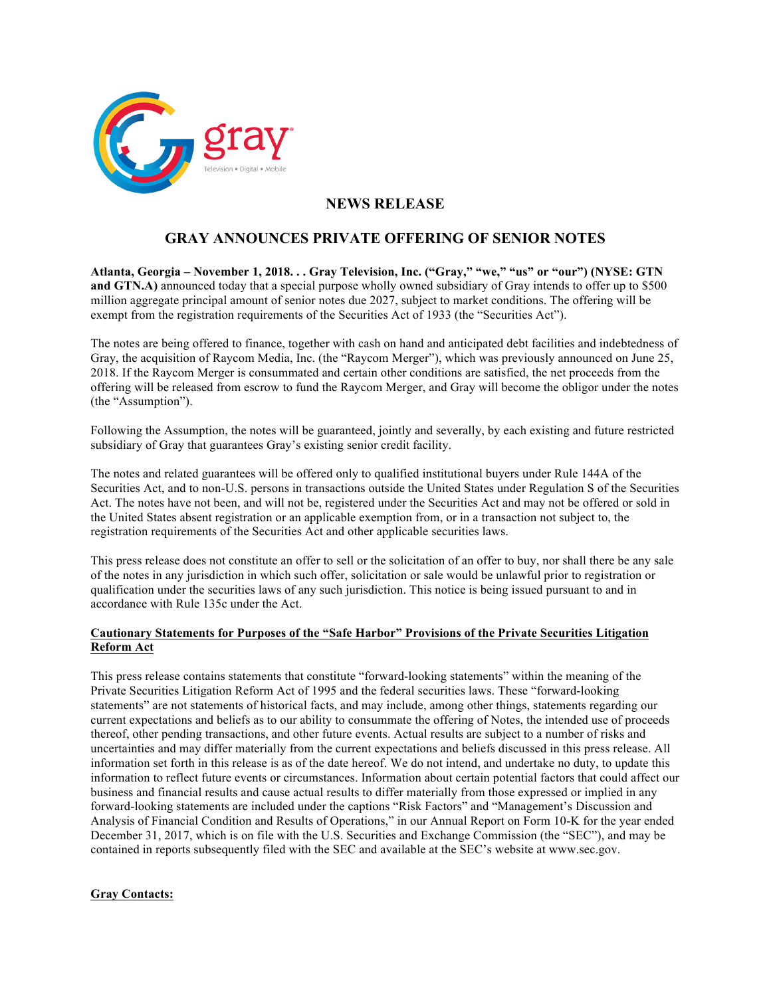

## **NEWS RELEASE**

## **GRAY ANNOUNCES PRIVATE OFFERING OF SENIOR NOTES**

**Atlanta, Georgia – November 1, 2018. . . Gray Television, Inc. ("Gray," "we," "us" or "our") (NYSE: GTN and GTN.A)** announced today that a special purpose wholly owned subsidiary of Gray intends to offer up to \$500 million aggregate principal amount of senior notes due 2027, subject to market conditions. The offering will be exempt from the registration requirements of the Securities Act of 1933 (the "Securities Act").

The notes are being offered to finance, together with cash on hand and anticipated debt facilities and indebtedness of Gray, the acquisition of Raycom Media, Inc. (the "Raycom Merger"), which was previously announced on June 25, 2018. If the Raycom Merger is consummated and certain other conditions are satisfied, the net proceeds from the offering will be released from escrow to fund the Raycom Merger, and Gray will become the obligor under the notes (the "Assumption").

Following the Assumption, the notes will be guaranteed, jointly and severally, by each existing and future restricted subsidiary of Gray that guarantees Gray's existing senior credit facility.

The notes and related guarantees will be offered only to qualified institutional buyers under Rule 144A of the Securities Act, and to non-U.S. persons in transactions outside the United States under Regulation S of the Securities Act. The notes have not been, and will not be, registered under the Securities Act and may not be offered or sold in the United States absent registration or an applicable exemption from, or in a transaction not subject to, the registration requirements of the Securities Act and other applicable securities laws.

This press release does not constitute an offer to sell or the solicitation of an offer to buy, nor shall there be any sale of the notes in any jurisdiction in which such offer, solicitation or sale would be unlawful prior to registration or qualification under the securities laws of any such jurisdiction. This notice is being issued pursuant to and in accordance with Rule 135c under the Act.

## **Cautionary Statements for Purposes of the "Safe Harbor" Provisions of the Private Securities Litigation Reform Act**

This press release contains statements that constitute "forward-looking statements" within the meaning of the Private Securities Litigation Reform Act of 1995 and the federal securities laws. These "forward-looking statements" are not statements of historical facts, and may include, among other things, statements regarding our current expectations and beliefs as to our ability to consummate the offering of Notes, the intended use of proceeds thereof, other pending transactions, and other future events. Actual results are subject to a number of risks and uncertainties and may differ materially from the current expectations and beliefs discussed in this press release. All information set forth in this release is as of the date hereof. We do not intend, and undertake no duty, to update this information to reflect future events or circumstances. Information about certain potential factors that could affect our business and financial results and cause actual results to differ materially from those expressed or implied in any forward-looking statements are included under the captions "Risk Factors" and "Management's Discussion and Analysis of Financial Condition and Results of Operations," in our Annual Report on Form 10-K for the year ended December 31, 2017, which is on file with the U.S. Securities and Exchange Commission (the "SEC"), and may be contained in reports subsequently filed with the SEC and available at the SEC's website at www.sec.gov.

## **Gray Contacts:**